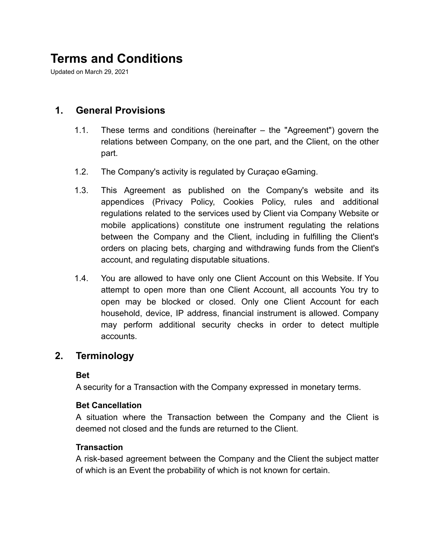# **Terms and Conditions**

Updated on March 29, 2021

### **1. General Provisions**

- 1.1. These terms and conditions (hereinafter the "Agreement") govern the relations between Company, on the one part, and the Client, on the other part.
- 1.2. The Company's activity is regulated by Curaçao eGaming.
- 1.3. This Agreement as published on the Company's website and its appendices (Privacy Policy, Cookies Policy, rules and additional regulations related to the services used by Client via Company Website or mobile applications) constitute one instrument regulating the relations between the Company and the Client, including in fulfilling the Client's orders on placing bets, charging and withdrawing funds from the Client's account, and regulating disputable situations.
- 1.4. You are allowed to have only one Client Account on this Website. If You attempt to open more than one Client Account, all accounts You try to open may be blocked or closed. Only one Client Account for each household, device, IP address, financial instrument is allowed. Company may perform additional security checks in order to detect multiple accounts.

#### **2. Terminology**

#### **Bet**

A security for a Transaction with the Company expressed in monetary terms.

#### **Bet Cancellation**

A situation where the Transaction between the Company and the Client is deemed not closed and the funds are returned to the Client.

#### **Transaction**

A risk-based agreement between the Company and the Client the subject matter of which is an Event the probability of which is not known for certain.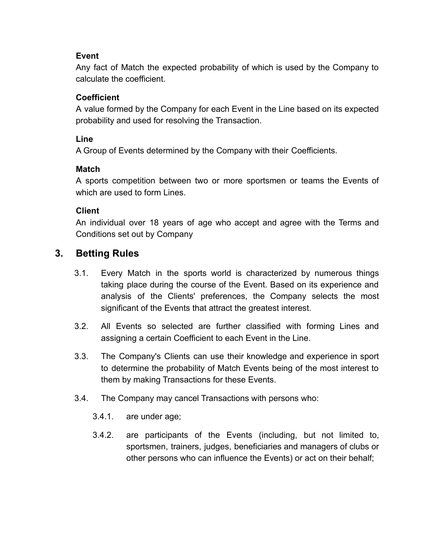#### **Event**

Any fact of Match the expected probability of which is used by the Company to calculate the coefficient.

#### **Coefficient**

A value formed by the Company for each Event in the Line based on its expected probability and used for resolving the Transaction.

#### **Line**

A Group of Events determined by the Company with their Coefficients.

#### **Match**

A sports competition between two or more sportsmen or teams the Events of which are used to form Lines.

#### **Client**

An individual over 18 years of age who accept and agree with the Terms and Conditions set out by Company

# **3. Betting Rules**

- 3.1. Every Match in the sports world is characterized by numerous things taking place during the course of the Event. Based on its experience and analysis of the Clients' preferences, the Company selects the most significant of the Events that attract the greatest interest.
- 3.2. All Events so selected are further classified with forming Lines and assigning a certain Coefficient to each Event in the Line.
- 3.3. The Company's Clients can use their knowledge and experience in sport to determine the probability of Match Events being of the most interest to them by making Transactions for these Events.
- 3.4. The Company may cancel Transactions with persons who:
	- 3.4.1. are under age;
	- 3.4.2. are participants of the Events (including, but not limited to, sportsmen, trainers, judges, beneficiaries and managers of clubs or other persons who can influence the Events) or act on their behalf;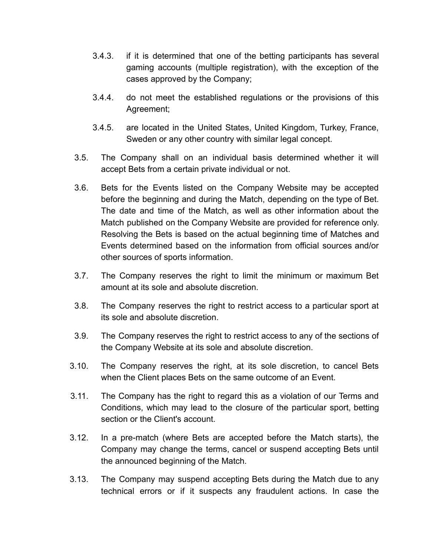- 3.4.3. if it is determined that one of the betting participants has several gaming accounts (multiple registration), with the exception of the cases approved by the Company;
- 3.4.4. do not meet the established regulations or the provisions of this Agreement;
- 3.4.5. are located in the United States, United Kingdom, Turkey, France, Sweden or any other country with similar legal concept.
- 3.5. The Company shall on an individual basis determined whether it will accept Bets from a certain private individual or not.
- 3.6. Bets for the Events listed on the Company Website may be accepted before the beginning and during the Match, depending on the type of Bet. The date and time of the Match, as well as other information about the Match published on the Company Website are provided for reference only. Resolving the Bets is based on the actual beginning time of Matches and Events determined based on the information from official sources and/or other sources of sports information.
- 3.7. The Company reserves the right to limit the minimum or maximum Bet amount at its sole and absolute discretion.
- 3.8. The Company reserves the right to restrict access to a particular sport at its sole and absolute discretion.
- 3.9. The Company reserves the right to restrict access to any of the sections of the Company Website at its sole and absolute discretion.
- 3.10. The Company reserves the right, at its sole discretion, to cancel Bets when the Client places Bets on the same outcome of an Event.
- 3.11. The Company has the right to regard this as a violation of our Terms and Conditions, which may lead to the closure of the particular sport, betting section or the Client's account.
- 3.12. In a pre-match (where Bets are accepted before the Match starts), the Company may change the terms, cancel or suspend accepting Bets until the announced beginning of the Match.
- 3.13. The Company may suspend accepting Bets during the Match due to any technical errors or if it suspects any fraudulent actions. In case the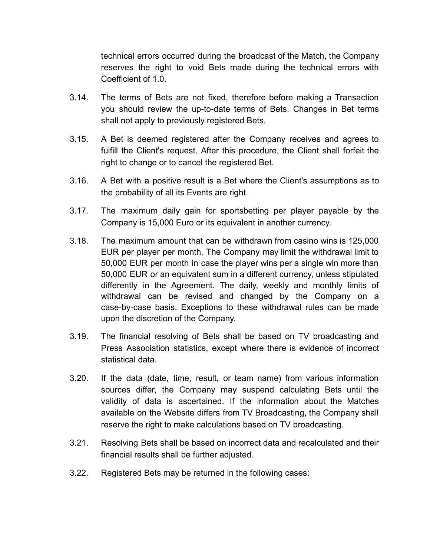technical errors occurred during the broadcast of the Match, the Company reserves the right to void Bets made during the technical errors with Coefficient of 1.0.

- 3.14. The terms of Bets are not fixed, therefore before making a Transaction you should review the up-to-date terms of Bets. Changes in Bet terms shall not apply to previously registered Bets.
- 3.15. A Bet is deemed registered after the Company receives and agrees to fulfill the Client's request. After this procedure, the Client shall forfeit the right to change or to cancel the registered Bet.
- 3.16. A Bet with a positive result is a Bet where the Client's assumptions as to the probability of all its Events are right.
- 3.17. The maximum daily gain for sportsbetting per player payable by the Company is 15,000 Euro or its equivalent in another currency.
- 3.18. The maximum amount that can be withdrawn from casino wins is 125,000 EUR per player per month. The Company may limit the withdrawal limit to 50,000 EUR per month in case the player wins per a single win more than 50,000 EUR or an equivalent sum in a different currency, unless stipulated differently in the Agreement. The daily, weekly and monthly limits of withdrawal can be revised and changed by the Company on a case-by-case basis. Exceptions to these withdrawal rules can be made upon the discretion of the Company.
- 3.19. The financial resolving of Bets shall be based on TV broadcasting and Press Association statistics, except where there is evidence of incorrect statistical data.
- 3.20. If the data (date, time, result, or team name) from various information sources differ, the Company may suspend calculating Bets until the validity of data is ascertained. If the information about the Matches available on the Website differs from TV Broadcasting, the Company shall reserve the right to make calculations based on TV broadcasting.
- 3.21. Resolving Bets shall be based on incorrect data and recalculated and their financial results shall be further adjusted.
- 3.22. Registered Bets may be returned in the following cases: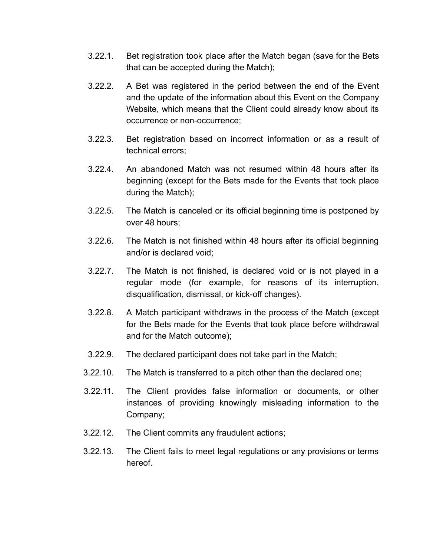- 3.22.1. Bet registration took place after the Match began (save for the Bets that can be accepted during the Match);
- 3.22.2. A Bet was registered in the period between the end of the Event and the update of the information about this Event on the Company Website, which means that the Client could already know about its occurrence or non-occurrence;
- 3.22.3. Bet registration based on incorrect information or as a result of technical errors;
- 3.22.4. An abandoned Match was not resumed within 48 hours after its beginning (except for the Bets made for the Events that took place during the Match);
- 3.22.5. The Match is canceled or its official beginning time is postponed by over 48 hours;
- 3.22.6. The Match is not finished within 48 hours after its official beginning and/or is declared void;
- 3.22.7. The Match is not finished, is declared void or is not played in a regular mode (for example, for reasons of its interruption, disqualification, dismissal, or kick-off changes).
- 3.22.8. A Match participant withdraws in the process of the Match (except for the Bets made for the Events that took place before withdrawal and for the Match outcome);
- 3.22.9. The declared participant does not take part in the Match;
- 3.22.10. The Match is transferred to a pitch other than the declared one;
- 3.22.11. The Client provides false information or documents, or other instances of providing knowingly misleading information to the Company;
- 3.22.12. The Client commits any fraudulent actions;
- 3.22.13. The Client fails to meet legal regulations or any provisions or terms hereof.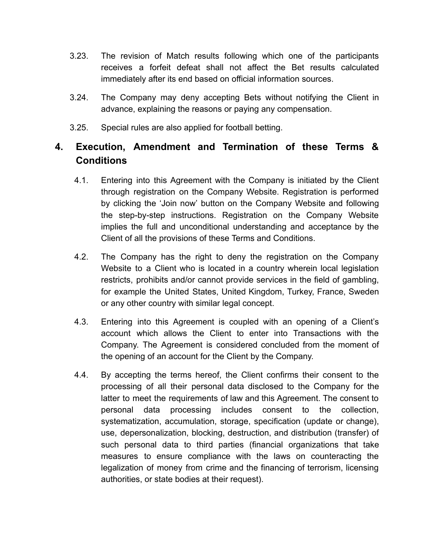- 3.23. The revision of Match results following which one of the participants receives a forfeit defeat shall not affect the Bet results calculated immediately after its end based on official information sources.
- 3.24. The Company may deny accepting Bets without notifying the Client in advance, explaining the reasons or paying any compensation.
- 3.25. Special rules are also applied for football betting.

# **4. Execution, Amendment and Termination of these Terms & Conditions**

- 4.1. Entering into this Agreement with the Company is initiated by the Client through registration on the Company Website. Registration is performed by clicking the 'Join now' button on the Company Website and following the step-by-step instructions. Registration on the Company Website implies the full and unconditional understanding and acceptance by the Client of all the provisions of these Terms and Conditions.
- 4.2. The Company has the right to deny the registration on the Company Website to a Client who is located in a country wherein local legislation restricts, prohibits and/or cannot provide services in the field of gambling, for example the United States, United Kingdom, Turkey, France, Sweden or any other country with similar legal concept.
- 4.3. Entering into this Agreement is coupled with an opening of a Сlient's account which allows the Client to enter into Transactions with the Company. The Agreement is considered concluded from the moment of the opening of an account for the Client by the Company.
- 4.4. By accepting the terms hereof, the Client confirms their consent to the processing of all their personal data disclosed to the Company for the latter to meet the requirements of law and this Agreement. The consent to personal data processing includes consent to the collection, systematization, accumulation, storage, specification (update or change), use, depersonalization, blocking, destruction, and distribution (transfer) of such personal data to third parties (financial organizations that take measures to ensure compliance with the laws on counteracting the legalization of money from crime and the financing of terrorism, licensing authorities, or state bodies at their request).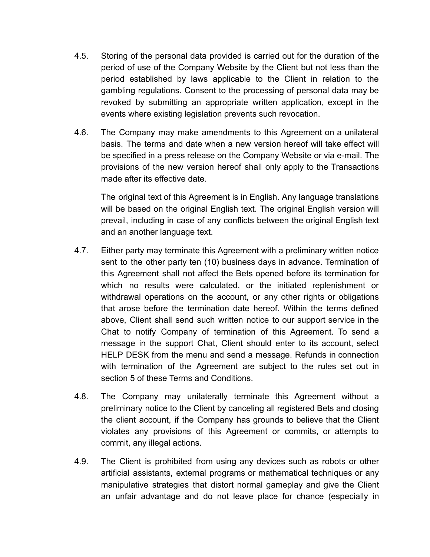- 4.5. Storing of the personal data provided is carried out for the duration of the period of use of the Company Website by the Client but not less than the period established by laws applicable to the Client in relation to the gambling regulations. Consent to the processing of personal data may be revoked by submitting an appropriate written application, except in the events where existing legislation prevents such revocation.
- 4.6. The Company may make amendments to this Agreement on a unilateral basis. The terms and date when a new version hereof will take effect will be specified in a press release on the Company Website or via e-mail. The provisions of the new version hereof shall only apply to the Transactions made after its effective date.

The original text of this Agreement is in English. Any language translations will be based on the original English text. The original English version will prevail, including in case of any conflicts between the original English text and an another language text.

- 4.7. Either party may terminate this Agreement with a preliminary written notice sent to the other party ten (10) business days in advance. Termination of this Agreement shall not affect the Bets opened before its termination for which no results were calculated, or the initiated replenishment or withdrawal operations on the account, or any other rights or obligations that arose before the termination date hereof. Within the terms defined above, Client shall send such written notice to our support service in the Chat to notify Company of termination of this Agreement. To send a message in the support Chat, Client should enter to its account, select HELP DESK from the menu and send a message. Refunds in connection with termination of the Agreement are subject to the rules set out in section 5 of these Terms and Conditions.
- 4.8. The Company may unilaterally terminate this Agreement without a preliminary notice to the Client by canceling all registered Bets and closing the client account, if the Company has grounds to believe that the Client violates any provisions of this Agreement or commits, or attempts to commit, any illegal actions.
- 4.9. The Client is prohibited from using any devices such as robots or other artificial assistants, external programs or mathematical techniques or any manipulative strategies that distort normal gameplay and give the Client an unfair advantage and do not leave place for chance (especially in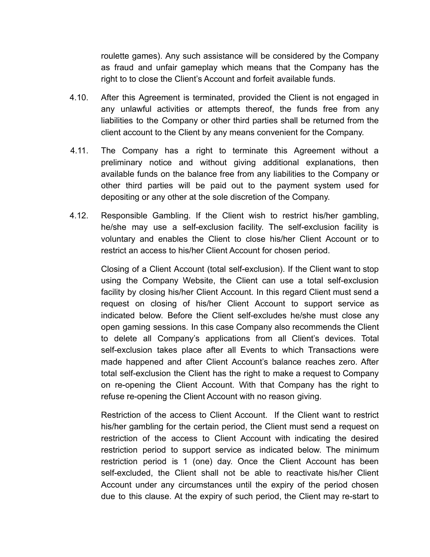roulette games). Any such assistance will be considered by the Company as fraud and unfair gameplay which means that the Company has the right to to close the Client's Account and forfeit available funds.

- 4.10. After this Agreement is terminated, provided the Client is not engaged in any unlawful activities or attempts thereof, the funds free from any liabilities to the Company or other third parties shall be returned from the client account to the Client by any means convenient for the Company.
- 4.11. The Company has a right to terminate this Agreement without a preliminary notice and without giving additional explanations, then available funds on the balance free from any liabilities to the Company or other third parties will be paid out to the payment system used for depositing or any other at the sole discretion of the Company.
- 4.12. Responsible Gambling. If the Client wish to restrict his/her gambling, he/she may use a self-exclusion facility. The self-exclusion facility is voluntary and enables the Client to close his/her Client Account or to restrict an access to his/her Client Account for chosen period.

Closing of a Client Account (total self-exclusion). If the Client want to stop using the Company Website, the Client can use a total self-exclusion facility by closing his/her Client Account. In this regard Client must send a request on closing of his/her Client Account to support service as indicated below. Before the Client self-excludes he/she must close any open gaming sessions. In this case Company also recommends the Client to delete all Company's applications from all Client's devices. Total self-exclusion takes place after all Events to which Transactions were made happened and after Client Account's balance reaches zero. After total self-exclusion the Client has the right to make a request to Company on re-opening the Client Account. With that Company has the right to refuse re-opening the Client Account with no reason giving.

Restriction of the access to Client Account. If the Client want to restrict his/her gambling for the certain period, the Client must send a request on restriction of the access to Client Account with indicating the desired restriction period to support service as indicated below. The minimum restriction period is 1 (one) day. Once the Client Account has been self-excluded, the Client shall not be able to reactivate his/her Client Account under any circumstances until the expiry of the period chosen due to this clause. At the expiry of such period, the Client may re-start to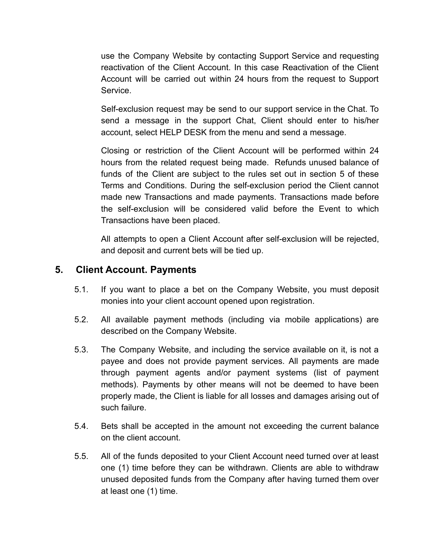use the Company Website by contacting Support Service and requesting reactivation of the Client Account. In this case Reactivation of the Client Account will be carried out within 24 hours from the request to Support Service.

Self-exclusion request may be send to our support service in the Chat. To send a message in the support Chat, Client should enter to his/her account, select HELP DESK from the menu and send a message.

Closing or restriction of the Client Account will be performed within 24 hours from the related request being made. Refunds unused balance of funds of the Client are subject to the rules set out in section 5 of these Terms and Conditions. During the self-exclusion period the Client cannot made new Transactions and made payments. Transactions made before the self-exclusion will be considered valid before the Event to which Transactions have been placed.

All attempts to open a Client Account after self-exclusion will be rejected, and deposit and current bets will be tied up.

#### **5. Client Account. Payments**

- 5.1. If you want to place a bet on the Company Website, you must deposit monies into your client account opened upon registration.
- 5.2. All available payment methods (including via mobile applications) are described on the Company Website.
- 5.3. The Company Website, and including the service available on it, is not a payee and does not provide payment services. All payments are made through payment agents and/or payment systems (list of payment methods). Payments by other means will not be deemed to have been properly made, the Client is liable for all losses and damages arising out of such failure.
- 5.4. Bets shall be accepted in the amount not exceeding the current balance on the client account.
- 5.5. All of the funds deposited to your Client Account need turned over at least one (1) time before they can be withdrawn. Clients are able to withdraw unused deposited funds from the Company after having turned them over at least one (1) time.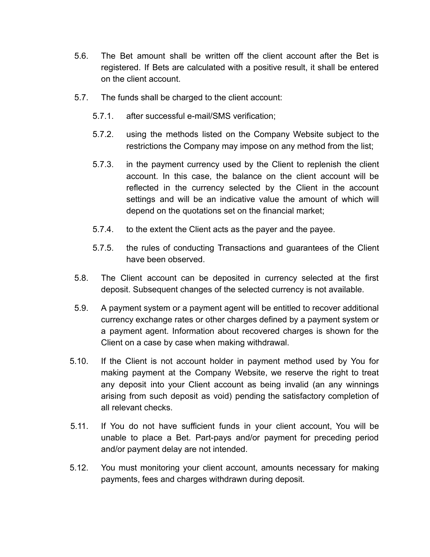- 5.6. The Bet amount shall be written off the client account after the Bet is registered. If Bets are calculated with a positive result, it shall be entered on the client account.
- 5.7. The funds shall be charged to the client account:
	- 5.7.1. after successful e-mail/SMS verification;
	- 5.7.2. using the methods listed on the Company Website subject to the restrictions the Company may impose on any method from the list;
	- 5.7.3. in the payment currency used by the Client to replenish the client account. In this case, the balance on the client account will be reflected in the currency selected by the Client in the account settings and will be an indicative value the amount of which will depend on the quotations set on the financial market;
	- 5.7.4. to the extent the Client acts as the payer and the payee.
	- 5.7.5. the rules of conducting Transactions and guarantees of the Client have been observed.
- 5.8. The Client account can be deposited in currency selected at the first deposit. Subsequent changes of the selected currency is not available.
- 5.9. A payment system or a payment agent will be entitled to recover additional currency exchange rates or other charges defined by a payment system or a payment agent. Information about recovered charges is shown for the Client on a case by case when making withdrawal.
- 5.10. If the Client is not account holder in payment method used by You for making payment at the Company Website, we reserve the right to treat any deposit into your Client account as being invalid (an any winnings arising from such deposit as void) pending the satisfactory completion of all relevant checks.
- 5.11. If You do not have sufficient funds in your client account, You will be unable to place a Bet. Part-pays and/or payment for preceding period and/or payment delay are not intended.
- 5.12. You must monitoring your client account, amounts necessary for making payments, fees and charges withdrawn during deposit.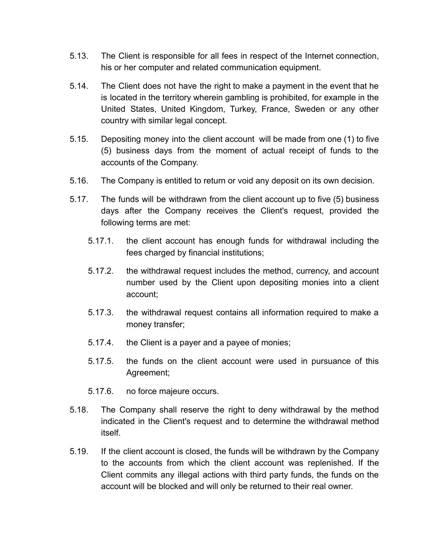- 5.13. The Client is responsible for all fees in respect of the Internet connection, his or her computer and related communication equipment.
- 5.14. The Client does not have the right to make a payment in the event that he is located in the territory wherein gambling is prohibited, for example in the United States, United Kingdom, Turkey, France, Sweden or any other country with similar legal concept.
- 5.15. Depositing money into the client account will be made from one (1) to five (5) business days from the moment of actual receipt of funds to the accounts of the Company.
- 5.16. The Company is entitled to return or void any deposit on its own decision.
- 5.17. The funds will be withdrawn from the client account up to five (5) business days after the Company receives the Client's request, provided the following terms are met:
	- 5.17.1. the client account has enough funds for withdrawal including the fees charged by financial institutions;
	- 5.17.2. the withdrawal request includes the method, currency, and account number used by the Client upon depositing monies into a client account;
	- 5.17.3. the withdrawal request contains all information required to make a money transfer;
	- 5.17.4. the Client is a payer and a payee of monies;
	- 5.17.5. the funds on the client account were used in pursuance of this Agreement;
	- 5.17.6. no force majeure occurs.
- 5.18. The Company shall reserve the right to deny withdrawal by the method indicated in the Client's request and to determine the withdrawal method itself.
- 5.19. If the client account is closed, the funds will be withdrawn by the Company to the accounts from which the client account was replenished. If the Client commits any illegal actions with third party funds, the funds on the account will be blocked and will only be returned to their real owner.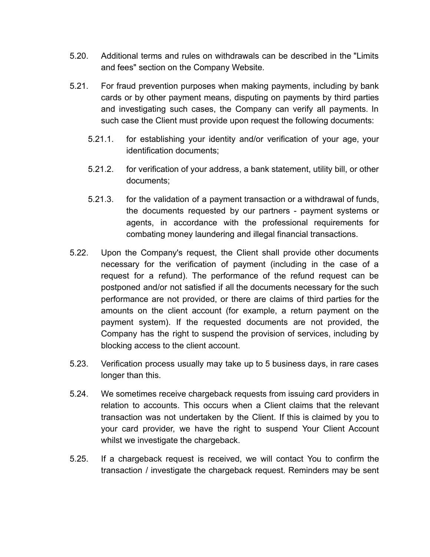- 5.20. Additional terms and rules on withdrawals can be described in the "Limits and fees" section on the Company Website.
- 5.21. For fraud prevention purposes when making payments, including by bank cards or by other payment means, disputing on payments by third parties and investigating such cases, the Company can verify all payments. In such case the Client must provide upon request the following documents:
	- 5.21.1. for establishing your identity and/or verification of your age, your identification documents;
	- 5.21.2. for verification of your address, a bank statement, utility bill, or other documents;
	- 5.21.3. for the validation of a payment transaction or a withdrawal of funds, the documents requested by our partners - payment systems or agents, in accordance with the professional requirements for combating money laundering and illegal financial transactions.
- 5.22. Upon the Company's request, the Client shall provide other documents necessary for the verification of payment (including in the case of a request for a refund). The performance of the refund request can be postponed and/or not satisfied if all the documents necessary for the such performance are not provided, or there are claims of third parties for the amounts on the client account (for example, a return payment on the payment system). If the requested documents are not provided, the Company has the right to suspend the provision of services, including by blocking access to the client account.
- 5.23. Verification process usually may take up to 5 business days, in rare cases longer than this.
- 5.24. We sometimes receive chargeback requests from issuing card providers in relation to accounts. This occurs when a Client claims that the relevant transaction was not undertaken by the Client. If this is claimed by you to your card provider, we have the right to suspend Your Client Account whilst we investigate the chargeback.
- 5.25. If a chargeback request is received, we will contact You to confirm the transaction / investigate the chargeback request. Reminders may be sent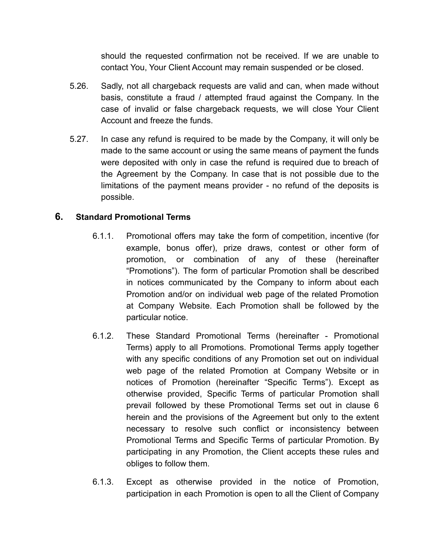should the requested confirmation not be received. If we are unable to contact You, Your Client Account may remain suspended or be closed.

- 5.26. Sadly, not all chargeback requests are valid and can, when made without basis, constitute a fraud / attempted fraud against the Company. In the case of invalid or false chargeback requests, we will close Your Client Account and freeze the funds.
- 5.27. In case any refund is required to be made by the Company, it will only be made to the same account or using the same means of payment the funds were deposited with only in case the refund is required due to breach of the Agreement by the Company. In case that is not possible due to the limitations of the payment means provider - no refund of the deposits is possible.

#### **6. Standard Promotional Terms**

- 6.1.1. Promotional offers may take the form of competition, incentive (for example, bonus offer), prize draws, contest or other form of promotion, or combination of any of these (hereinafter "Promotions"). The form of particular Promotion shall be described in notices communicated by the Company to inform about each Promotion and/or on individual web page of the related Promotion at Company Website. Each Promotion shall be followed by the particular notice.
- 6.1.2. These Standard Promotional Terms (hereinafter Promotional Terms) apply to all Promotions. Promotional Terms apply together with any specific conditions of any Promotion set out on individual web page of the related Promotion at Company Website or in notices of Promotion (hereinafter "Specific Terms"). Except as otherwise provided, Specific Terms of particular Promotion shall prevail followed by these Promotional Terms set out in clause 6 herein and the provisions of the Agreement but only to the extent necessary to resolve such conflict or inconsistency between Promotional Terms and Specific Terms of particular Promotion. By participating in any Promotion, the Client accepts these rules and obliges to follow them.
- 6.1.3. Except as otherwise provided in the notice of Promotion, participation in each Promotion is open to all the Client of Company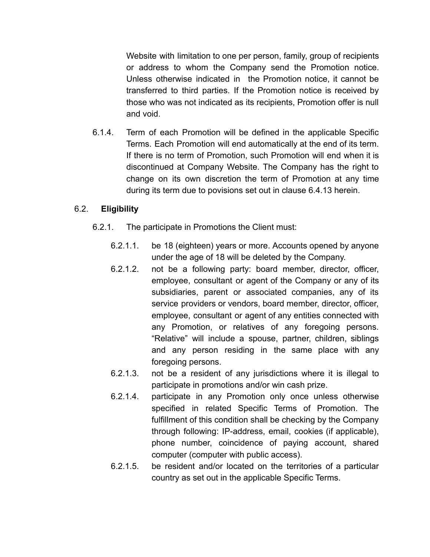Website with limitation to one per person, family, group of recipients or address to whom the Company send the Promotion notice. Unless otherwise indicated in the Promotion notice, it cannot be transferred to third parties. If the Promotion notice is received by those who was not indicated as its recipients, Promotion offer is null and void.

6.1.4. Term of each Promotion will be defined in the applicable Specific Terms. Each Promotion will end automatically at the end of its term. If there is no term of Promotion, such Promotion will end when it is discontinued at Company Website. The Company has the right to change on its own discretion the term of Promotion at any time during its term due to povisions set out in clause 6.4.13 herein.

#### 6.2. **Eligibility**

- 6.2.1. The participate in Promotions the Client must:
	- 6.2.1.1. be 18 (eighteen) years or more. Accounts opened by anyone under the age of 18 will be deleted by the Company.
	- 6.2.1.2. not be a following party: board member, director, officer, employee, consultant or agent of the Company or any of its subsidiaries, parent or associated companies, any of its service providers or vendors, board member, director, officer, employee, consultant or agent of any entities connected with any Promotion, or relatives of any foregoing persons. "Relative" will include a spouse, partner, children, siblings and any person residing in the same place with any foregoing persons.
	- 6.2.1.3. not be a resident of any jurisdictions where it is illegal to participate in promotions and/or win cash prize.
	- 6.2.1.4. participate in any Promotion only once unless otherwise specified in related Specific Terms of Promotion. The fulfillment of this condition shall be checking by the Company through following: IP-address, email, cookies (if applicable), phone number, coincidence of paying account, shared computer (computer with public access).
	- 6.2.1.5. be resident and/or located on the territories of a particular country as set out in the applicable Specific Terms.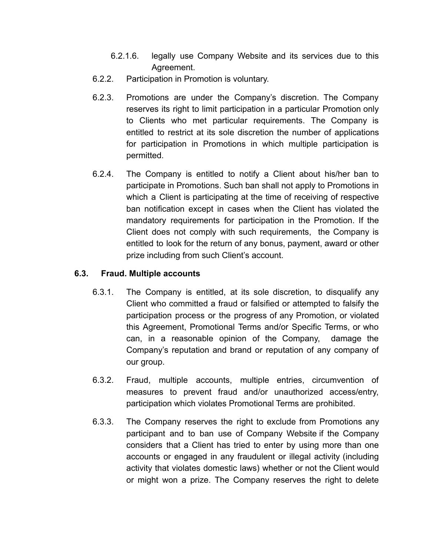- 6.2.1.6. legally use Company Website and its services due to this Agreement.
- 6.2.2. Participation in Promotion is voluntary.
- 6.2.3. Promotions are under the Company's discretion. The Company reserves its right to limit participation in a particular Promotion only to Clients who met particular requirements. The Company is entitled to restrict at its sole discretion the number of applications for participation in Promotions in which multiple participation is permitted.
- 6.2.4. The Company is entitled to notify a Client about his/her ban to participate in Promotions. Such ban shall not apply to Promotions in which a Client is participating at the time of receiving of respective ban notification except in cases when the Client has violated the mandatory requirements for participation in the Promotion. If the Client does not comply with such requirements, the Company is entitled to look for the return of any bonus, payment, award or other prize including from such Client's account.

#### **6.3. Fraud. Multiple accounts**

- 6.3.1. The Company is entitled, at its sole discretion, to disqualify any Client who committed a fraud or falsified or attempted to falsify the participation process or the progress of any Promotion, or violated this Agreement, Promotional Terms and/or Specific Terms, or who can, in a reasonable opinion of the Company, damage the Company's reputation and brand or reputation of any company of our group.
- 6.3.2. Fraud, multiple accounts, multiple entries, circumvention of measures to prevent fraud and/or unauthorized access/entry, participation which violates Promotional Terms are prohibited.
- 6.3.3. The Company reserves the right to exclude from Promotions any participant and to ban use of Company Website if the Company considers that a Client has tried to enter by using more than one accounts or engaged in any fraudulent or illegal activity (including activity that violates domestic laws) whether or not the Client would or might won a prize. The Company reserves the right to delete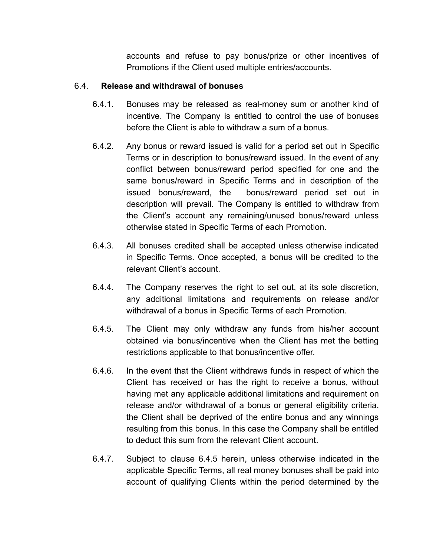accounts and refuse to pay bonus/prize or other incentives of Promotions if the Client used multiple entries/accounts.

#### 6.4. **Release and withdrawal of bonuses**

- 6.4.1. Bonuses may be released as real-money sum or another kind of incentive. The Company is entitled to control the use of bonuses before the Client is able to withdraw a sum of a bonus.
- 6.4.2. Any bonus or reward issued is valid for a period set out in Specific Terms or in description to bonus/reward issued. In the event of any conflict between bonus/reward period specified for one and the same bonus/reward in Specific Terms and in description of the issued bonus/reward, the bonus/reward period set out in description will prevail. The Company is entitled to withdraw from the Client's account any remaining/unused bonus/reward unless otherwise stated in Specific Terms of each Promotion.
- 6.4.3. All bonuses credited shall be accepted unless otherwise indicated in Specific Terms. Once accepted, a bonus will be credited to the relevant Client's account.
- 6.4.4. The Company reserves the right to set out, at its sole discretion, any additional limitations and requirements on release and/or withdrawal of a bonus in Specific Terms of each Promotion.
- 6.4.5. The Client may only withdraw any funds from his/her account obtained via bonus/incentive when the Client has met the betting restrictions applicable to that bonus/incentive offer.
- 6.4.6. In the event that the Client withdraws funds in respect of which the Client has received or has the right to receive a bonus, without having met any applicable additional limitations and requirement on release and/or withdrawal of a bonus or general eligibility criteria, the Client shall be deprived of the entire bonus and any winnings resulting from this bonus. In this case the Company shall be entitled to deduct this sum from the relevant Client account.
- 6.4.7. Subject to clause 6.4.5 herein, unless otherwise indicated in the applicable Specific Terms, all real money bonuses shall be paid into account of qualifying Clients within the period determined by the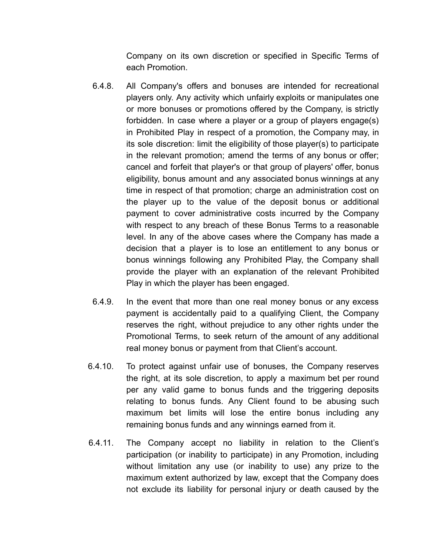Company on its own discretion or specified in Specific Terms of each Promotion.

- 6.4.8. All Company's offers and bonuses are intended for recreational players only. Any activity which unfairly exploits or manipulates one or more bonuses or promotions offered by the Company, is strictly forbidden. In case where a player or a group of players engage(s) in Prohibited Play in respect of a promotion, the Company may, in its sole discretion: limit the eligibility of those player(s) to participate in the relevant promotion; amend the terms of any bonus or offer; cancel and forfeit that player's or that group of players' offer, bonus eligibility, bonus amount and any associated bonus winnings at any time in respect of that promotion; charge an administration cost on the player up to the value of the deposit bonus or additional payment to cover administrative costs incurred by the Company with respect to any breach of these Bonus Terms to a reasonable level. In any of the above cases where the Company has made a decision that a player is to lose an entitlement to any bonus or bonus winnings following any Prohibited Play, the Company shall provide the player with an explanation of the relevant Prohibited Play in which the player has been engaged.
- 6.4.9. In the event that more than one real money bonus or any excess payment is accidentally paid to a qualifying Client, the Company reserves the right, without prejudice to any other rights under the Promotional Terms, to seek return of the amount of any additional real money bonus or payment from that Client's account.
- 6.4.10. To protect against unfair use of bonuses, the Company reserves the right, at its sole discretion, to apply a maximum bet per round per any valid game to bonus funds and the triggering deposits relating to bonus funds. Any Client found to be abusing such maximum bet limits will lose the entire bonus including any remaining bonus funds and any winnings earned from it.
- 6.4.11. The Company accept no liability in relation to the Client's participation (or inability to participate) in any Promotion, including without limitation any use (or inability to use) any prize to the maximum extent authorized by law, except that the Company does not exclude its liability for personal injury or death caused by the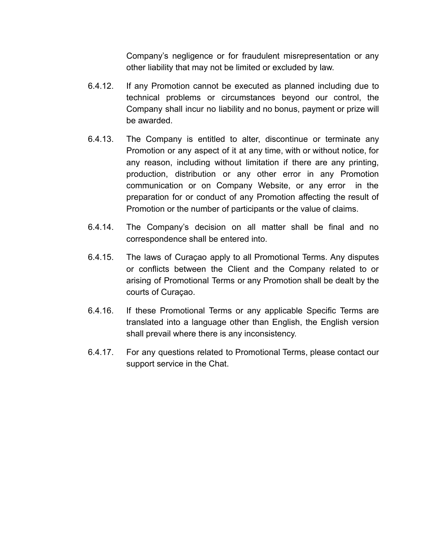Company's negligence or for fraudulent misrepresentation or any other liability that may not be limited or excluded by law.

- 6.4.12. If any Promotion cannot be executed as planned including due to technical problems or circumstances beyond our control, the Company shall incur no liability and no bonus, payment or prize will be awarded.
- 6.4.13. The Company is entitled to alter, discontinue or terminate any Promotion or any aspect of it at any time, with or without notice, for any reason, including without limitation if there are any printing, production, distribution or any other error in any Promotion communication or on Company Website, or any error in the preparation for or conduct of any Promotion affecting the result of Promotion or the number of participants or the value of claims.
- 6.4.14. The Company's decision on all matter shall be final and no correspondence shall be entered into.
- 6.4.15. The laws of Curaçao apply to all Promotional Terms. Any disputes or conflicts between the Client and the Company related to or arising of Promotional Terms or any Promotion shall be dealt by the courts of Curaçao.
- 6.4.16. If these Promotional Terms or any applicable Specific Terms are translated into a language other than English, the English version shall prevail where there is any inconsistency.
- 6.4.17. For any questions related to Promotional Terms, please contact our support service in the Chat.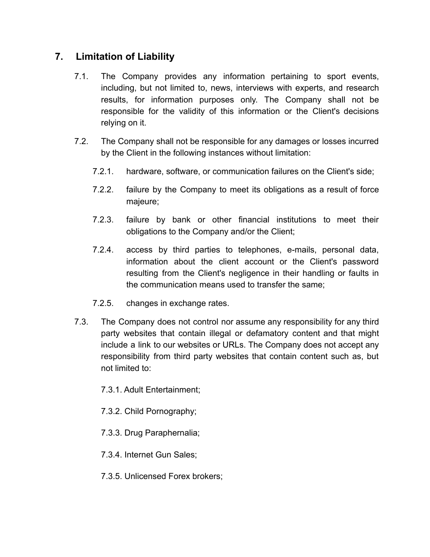# **7. Limitation of Liability**

- 7.1. The Company provides any information pertaining to sport events, including, but not limited to, news, interviews with experts, and research results, for information purposes only. The Company shall not be responsible for the validity of this information or the Client's decisions relying on it.
- 7.2. The Company shall not be responsible for any damages or losses incurred by the Client in the following instances without limitation:
	- 7.2.1. hardware, software, or communication failures on the Client's side;
	- 7.2.2. failure by the Company to meet its obligations as a result of force majeure;
	- 7.2.3. failure by bank or other financial institutions to meet their obligations to the Company and/or the Client;
	- 7.2.4. access by third parties to telephones, e-mails, personal data, information about the client account or the Client's password resulting from the Client's negligence in their handling or faults in the communication means used to transfer the same;
	- 7.2.5. changes in exchange rates.
- 7.3. The Company does not control nor assume any responsibility for any third party websites that contain illegal or defamatory content and that might include a link to our websites or URLs. The Company does not accept any responsibility from third party websites that contain content such as, but not limited to:

7.3.1. Adult Entertainment;

7.3.2. Child Pornography;

7.3.3. Drug Paraphernalia;

7.3.4. Internet Gun Sales;

7.3.5. Unlicensed Forex brokers;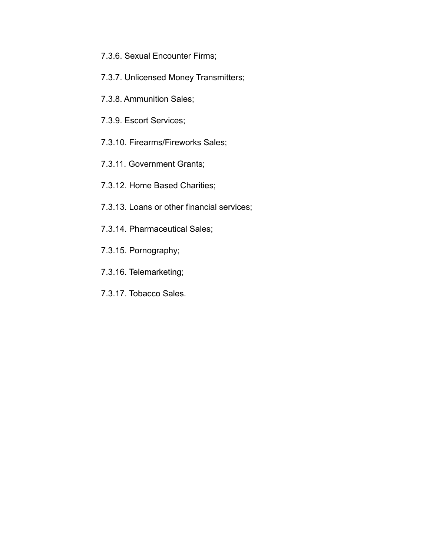- 7.3.6. Sexual Encounter Firms;
- 7.3.7. Unlicensed Money Transmitters;
- 7.3.8. Ammunition Sales;
- 7.3.9. Escort Services;
- 7.3.10. Firearms/Fireworks Sales;
- 7.3.11. Government Grants;
- 7.3.12. Home Based Charities;
- 7.3.13. Loans or other financial services;
- 7.3.14. Pharmaceutical Sales;
- 7.3.15. Pornography;
- 7.3.16. Telemarketing;
- 7.3.17. Tobacco Sales.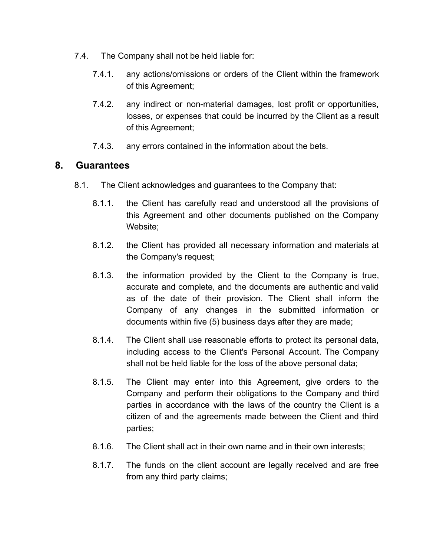- 7.4. The Company shall not be held liable for:
	- 7.4.1. any actions/omissions or orders of the Client within the framework of this Agreement;
	- 7.4.2. any indirect or non-material damages, lost profit or opportunities, losses, or expenses that could be incurred by the Client as a result of this Agreement;
	- 7.4.3. any errors contained in the information about the bets.

#### **8. Guarantees**

- 8.1. The Client acknowledges and guarantees to the Company that:
	- 8.1.1. the Client has carefully read and understood all the provisions of this Agreement and other documents published on the Company Website:
	- 8.1.2. the Client has provided all necessary information and materials at the Company's request;
	- 8.1.3. the information provided by the Client to the Company is true, accurate and complete, and the documents are authentic and valid as of the date of their provision. The Client shall inform the Company of any changes in the submitted information or documents within five (5) business days after they are made;
	- 8.1.4. The Client shall use reasonable efforts to protect its personal data, including access to the Client's Personal Account. The Company shall not be held liable for the loss of the above personal data;
	- 8.1.5. The Client may enter into this Agreement, give orders to the Company and perform their obligations to the Company and third parties in accordance with the laws of the country the Client is a citizen of and the agreements made between the Client and third parties;
	- 8.1.6. The Client shall act in their own name and in their own interests;
	- 8.1.7. The funds on the client account are legally received and are free from any third party claims;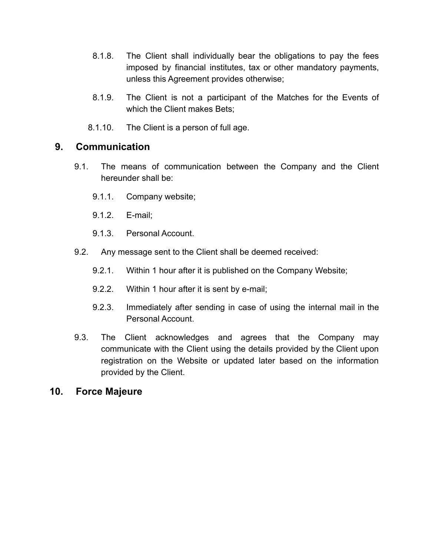- 8.1.8. The Client shall individually bear the obligations to pay the fees imposed by financial institutes, tax or other mandatory payments, unless this Agreement provides otherwise;
- 8.1.9. The Client is not a participant of the Matches for the Events of which the Client makes Bets;
- 8.1.10. The Client is a person of full age.

#### **9. Communication**

- 9.1. The means of communication between the Company and the Client hereunder shall be:
	- 9.1.1. Company website;
	- 9.1.2. E-mail;
	- 9.1.3. Personal Account.
- 9.2. Any message sent to the Client shall be deemed received:
	- 9.2.1. Within 1 hour after it is published on the Company Website;
	- 9.2.2. Within 1 hour after it is sent by e-mail;
	- 9.2.3. Immediately after sending in case of using the internal mail in the Personal Account.
- 9.3. The Client acknowledges and agrees that the Company may communicate with the Client using the details provided by the Client upon registration on the Website or updated later based on the information provided by the Client.

#### **10. Force Majeure**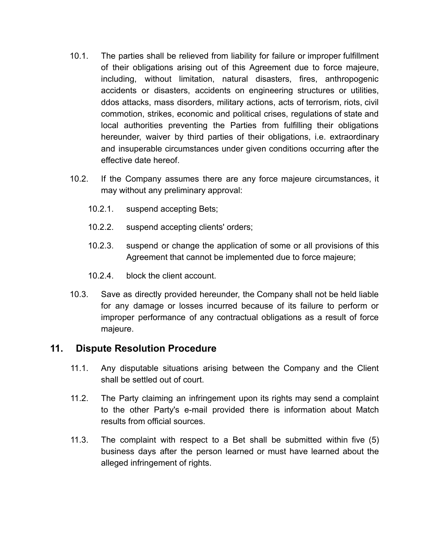- 10.1. The parties shall be relieved from liability for failure or improper fulfillment of their obligations arising out of this Agreement due to force majeure, including, without limitation, natural disasters, fires, anthropogenic accidents or disasters, accidents on engineering structures or utilities, ddos attacks, mass disorders, military actions, acts of terrorism, riots, civil commotion, strikes, economic and political crises, regulations of state and local authorities preventing the Parties from fulfilling their obligations hereunder, waiver by third parties of their obligations, i.e. extraordinary and insuperable circumstances under given conditions occurring after the effective date hereof.
- 10.2. If the Company assumes there are any force majeure circumstances, it may without any preliminary approval:
	- 10.2.1. suspend accepting Bets;
	- 10.2.2. suspend accepting clients' orders;
	- 10.2.3. suspend or change the application of some or all provisions of this Agreement that cannot be implemented due to force majeure;
	- 10.2.4. block the client account.
- 10.3. Save as directly provided hereunder, the Company shall not be held liable for any damage or losses incurred because of its failure to perform or improper performance of any contractual obligations as a result of force majeure.

### **11. Dispute Resolution Procedure**

- 11.1. Any disputable situations arising between the Company and the Client shall be settled out of court.
- 11.2. The Party claiming an infringement upon its rights may send a complaint to the other Party's e-mail provided there is information about Match results from official sources.
- 11.3. The complaint with respect to a Bet shall be submitted within five (5) business days after the person learned or must have learned about the alleged infringement of rights.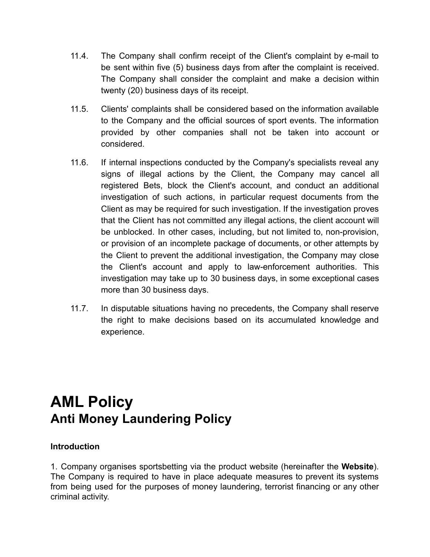- 11.4. The Company shall confirm receipt of the Client's complaint by e-mail to be sent within five (5) business days from after the complaint is received. The Company shall consider the complaint and make a decision within twenty (20) business days of its receipt.
- 11.5. Clients' complaints shall be considered based on the information available to the Company and the official sources of sport events. The information provided by other companies shall not be taken into account or considered.
- 11.6. If internal inspections conducted by the Company's specialists reveal any signs of illegal actions by the Client, the Company may cancel all registered Bets, block the Client's account, and conduct an additional investigation of such actions, in particular request documents from the Client as may be required for such investigation. If the investigation proves that the Client has not committed any illegal actions, the client account will be unblocked. In other cases, including, but not limited to, non-provision, or provision of an incomplete package of documents, or other attempts by the Client to prevent the additional investigation, the Company may close the Client's account and apply to law-enforcement authorities. This investigation may take up to 30 business days, in some exceptional cases more than 30 business days.
- 11.7. In disputable situations having no precedents, the Company shall reserve the right to make decisions based on its accumulated knowledge and experience.

# **AML Policy Anti Money Laundering Policy**

#### **Introduction**

1. Company organises sportsbetting via the product website (hereinafter the **Website**). The Company is required to have in place adequate measures to prevent its systems from being used for the purposes of money laundering, terrorist financing or any other criminal activity.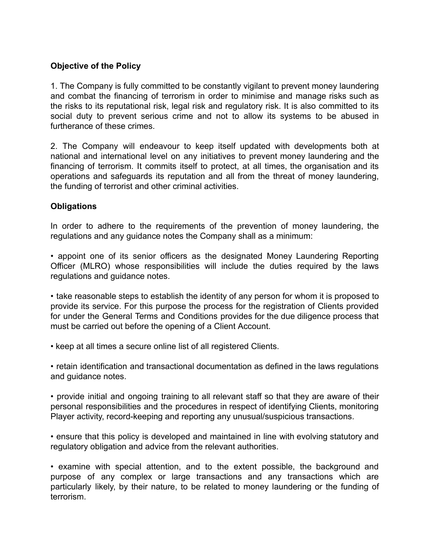#### **Objective of the Policy**

1. The Company is fully committed to be constantly vigilant to prevent money laundering and combat the financing of terrorism in order to minimise and manage risks such as the risks to its reputational risk, legal risk and regulatory risk. It is also committed to its social duty to prevent serious crime and not to allow its systems to be abused in furtherance of these crimes.

2. The Company will endeavour to keep itself updated with developments both at national and international level on any initiatives to prevent money laundering and the financing of terrorism. It commits itself to protect, at all times, the organisation and its operations and safeguards its reputation and all from the threat of money laundering, the funding of terrorist and other criminal activities.

#### **Obligations**

In order to adhere to the requirements of the prevention of money laundering, the regulations and any guidance notes the Company shall as a minimum:

• appoint one of its senior officers as the designated Money Laundering Reporting Officer (MLRO) whose responsibilities will include the duties required by the laws regulations and guidance notes.

• take reasonable steps to establish the identity of any person for whom it is proposed to provide its service. For this purpose the process for the registration of Clients provided for under the General Terms and Conditions provides for the due diligence process that must be carried out before the opening of a Client Account.

• keep at all times a secure online list of all registered Clients.

• retain identification and transactional documentation as defined in the laws regulations and guidance notes.

• provide initial and ongoing training to all relevant staff so that they are aware of their personal responsibilities and the procedures in respect of identifying Clients, monitoring Player activity, record-keeping and reporting any unusual/suspicious transactions.

• ensure that this policy is developed and maintained in line with evolving statutory and regulatory obligation and advice from the relevant authorities.

• examine with special attention, and to the extent possible, the background and purpose of any complex or large transactions and any transactions which are particularly likely, by their nature, to be related to money laundering or the funding of terrorism.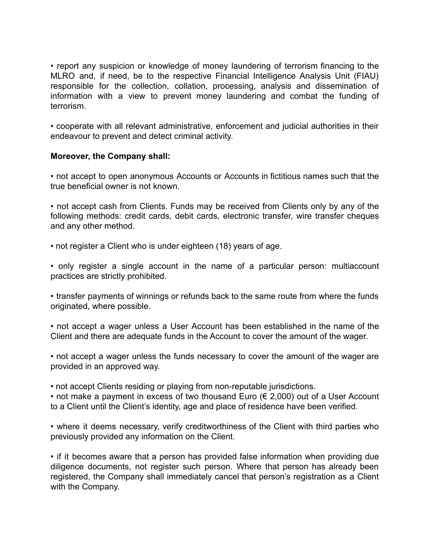• report any suspicion or knowledge of money laundering of terrorism financing to the MLRO and, if need, be to the respective Financial Intelligence Analysis Unit (FIAU) responsible for the collection, collation, processing, analysis and dissemination of information with a view to prevent money laundering and combat the funding of terrorism.

• cooperate with all relevant administrative, enforcement and judicial authorities in their endeavour to prevent and detect criminal activity.

#### **Moreover, the Company shall:**

• not accept to open anonymous Accounts or Accounts in fictitious names such that the true beneficial owner is not known.

• not accept cash from Clients. Funds may be received from Clients only by any of the following methods: credit cards, debit cards, electronic transfer, wire transfer cheques and any other method.

- not register a Client who is under eighteen (18) years of age.
- only register a single account in the name of a particular person: multiaccount practices are strictly prohibited.

• transfer payments of winnings or refunds back to the same route from where the funds originated, where possible.

• not accept a wager unless a User Account has been established in the name of the Client and there are adequate funds in the Account to cover the amount of the wager.

• not accept a wager unless the funds necessary to cover the amount of the wager are provided in an approved way.

• not accept Clients residing or playing from non-reputable jurisdictions.

• not make a payment in excess of two thousand Euro ( $\epsilon$  2,000) out of a User Account to a Client until the Client's identity, age and place of residence have been verified.

• where it deems necessary, verify creditworthiness of the Client with third parties who previously provided any information on the Client.

• if it becomes aware that a person has provided false information when providing due diligence documents, not register such person. Where that person has already been registered, the Company shall immediately cancel that person's registration as a Client with the Company.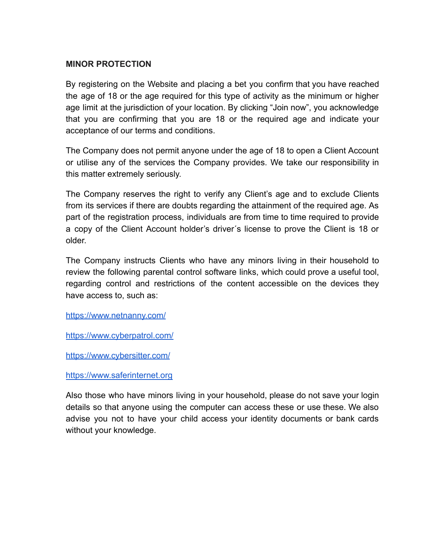#### **MINOR PROTECTION**

By registering on the Website and placing a bet you confirm that you have reached the age of 18 or the age required for this type of activity as the minimum or higher age limit at the jurisdiction of your location. By clicking "Join now", you acknowledge that you are confirming that you are 18 or the required age and indicate your acceptance of our terms and conditions.

The Company does not permit anyone under the age of 18 to open a Client Account or utilise any of the services the Company provides. We take our responsibility in this matter extremely seriously.

The Company reserves the right to verify any Client's age and to exclude Clients from its services if there are doubts regarding the attainment of the required age. As part of the registration process, individuals are from time to time required to provide a copy of the Client Account holder's driver´s license to prove the Client is 18 or older.

The Company instructs Clients who have any minors living in their household to review the following parental control software links, which could prove a useful tool, regarding control and restrictions of the content accessible on the devices they have access to, such as:

<https://www.netnanny.com/>

<https://www.cyberpatrol.com/>

<https://www.cybersitter.com/>

https://www.saferinternet.org

Also those who have minors living in your household, please do not save your login details so that anyone using the computer can access these or use these. We also advise you not to have your child access your identity documents or bank cards without your knowledge.